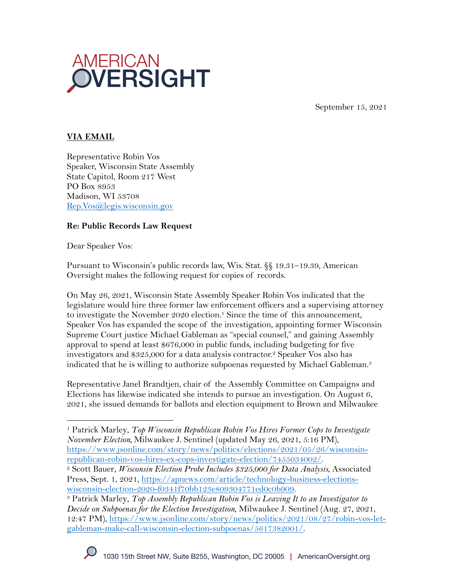

September 15, 2021

## **VIA EMAIL**

Representative Robin Vos Speaker, Wisconsin State Assembly State Capitol, Room 217 West PO Box 8953 Madison, WI 53708 Rep.Vos@legis.wisconsin.gov

#### **Re: Public Records Law Request**

Dear Speaker Vos:

Pursuant to Wisconsin's public records law, Wis. Stat. §§ 19.31–19.39, American Oversight makes the following request for copies of records.

On May 26, 2021, Wisconsin State Assembly Speaker Robin Vos indicated that the legislature would hire three former law enforcement officers and a supervising attorney to investigate the November 2020 election.<sup>1</sup> Since the time of this announcement, Speaker Vos has expanded the scope of the investigation, appointing former Wisconsin Supreme Court justice Michael Gableman as "special counsel," and gaining Assembly approval to spend at least \$676,000 in public funds, including budgeting for five investigators and \$325,000 for a data analysis contractor.2 Speaker Vos also has indicated that he is willing to authorize subpoenas requested by Michael Gableman.<sup>3</sup>

Representative Janel Brandtjen, chair of the Assembly Committee on Campaigns and Elections has likewise indicated she intends to pursue an investigation. On August 6, 2021, she issued demands for ballots and election equipment to Brown and Milwaukee

<sup>1</sup> Patrick Marley, *Top Wisconsin Republican Robin Vos Hires Former Cops to Investigate November Election,* Milwaukee J. Sentinel (updated May 26, 2021, 5:16 PM), https://www.jsonline.com/story/news/politics/elections/2021/05/26/wisconsin-

republican-robin-vos-hires-ex-cops-investigate-election/7455034002/. 2 Scott Bauer, *Wisconsin Election Probe Includes \$325,000 for Data Analysis*, Associated Press, Sept. 1, 2021, https://apnews.com/article/technology-business-elections-<br>wisconsin-election-2020-f0341f70bb123e809304771ed0c0b909.

<sup>&</sup>lt;sup>3</sup> Patrick Marley, Top Assembly Republican Robin Vos is Leaving It to an Investigator to *Decide on Subpoenas for the Election Investigation*, Milwaukee J. Sentinel (Aug. 27, 2021, 12:47 PM), https://www.jsonline.com/story/news/politics/2021/08/27/robin-vos-letgableman-make-call-wisconsin-election-subpoenas/5617382001/.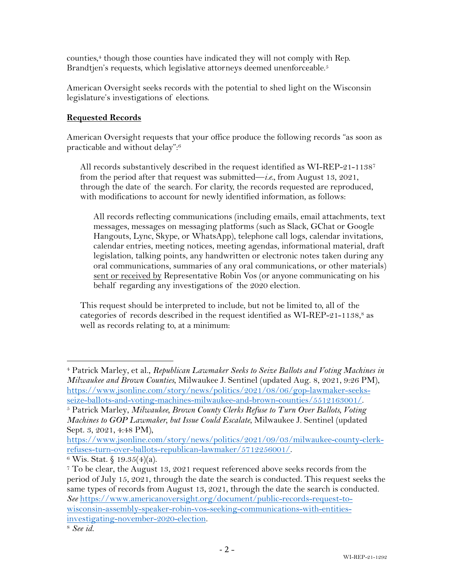counties,4 though those counties have indicated they will not comply with Rep. Brandtjen's requests, which legislative attorneys deemed unenforceable.<sup>5</sup>

American Oversight seeks records with the potential to shed light on the Wisconsin legislature's investigations of elections.

# **Requested Records**

American Oversight requests that your office produce the following records "as soon as practicable and without delay": 6

All records substantively described in the request identified as WI-REP-21-11387 from the period after that request was submitted—*i.e.*, from August 13, 2021, through the date of the search. For clarity, the records requested are reproduced, with modifications to account for newly identified information, as follows:

All records reflecting communications (including emails, email attachments, text messages, messages on messaging platforms (such as Slack, GChat or Google Hangouts, Lync, Skype, or WhatsApp), telephone call logs, calendar invitations, calendar entries, meeting notices, meeting agendas, informational material, draft legislation, talking points, any handwritten or electronic notes taken during any oral communications, summaries of any oral communications, or other materials) sent or received by Representative Robin Vos (or anyone communicating on his behalf regarding any investigations of the 2020 election.

This request should be interpreted to include, but not be limited to, all of the categories of records described in the request identified as WI-REP-21-1138, <sup>8</sup> as well as records relating to, at a minimum:

<sup>4</sup> Patrick Marley, et al., *Republican Lawmaker Seeks to Seize Ballots and Voting Machines in Milwaukee and Brown Counties*, Milwaukee J. Sentinel (updated Aug. 8, 2021, 9:26 PM), https://www.jsonline.com/story/news/politics/2021/08/06/gop-lawmaker-seeksseize-ballots-and-voting-machines-milwaukee-and-brown-counties/5512163001/. 5 Patrick Marley, *Milwaukee, Brown County Clerks Refuse to Turn Over Ballots, Voting* 

*Machines to GOP Lawmaker, but Issue Could Escalate*, Milwaukee J. Sentinel (updated Sept. 3, 2021, 4:48 PM),

https://www.jsonline.com/story/news/politics/2021/09/03/milwaukee-county-clerkrefuses-turn-over-ballots-republican-lawmaker/5712256001/.<br><sup>6</sup> Wis. Stat. § 19.35(4)(a).

<sup>7</sup> To be clear, the August 13, 2021 request referenced above seeks records from the period of July 15, 2021, through the date the search is conducted. This request seeks the same types of records from August 13, 2021, through the date the search is conducted. *See* https://www.americanoversight.org/document/public-records-request-towisconsin-assembly-speaker-robin-vos-seeking-communications-with-entitiesinvestigating-november-2020-election. 8 *See id.*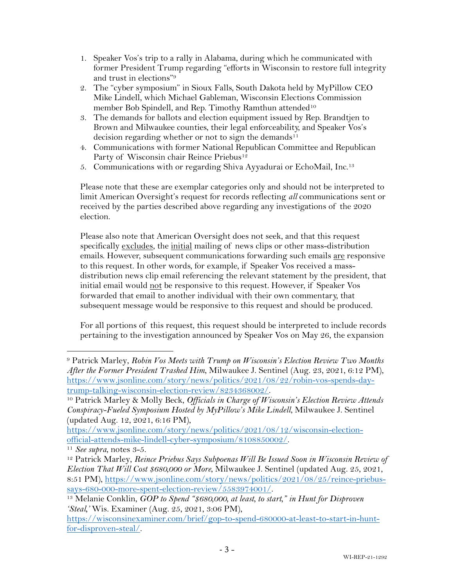- 1. Speaker Vos's trip to a rally in Alabama, during which he communicated with former President Trump regarding "efforts in Wisconsin to restore full integrity and trust in elections"9
- 2. The "cyber symposium" in Sioux Falls, South Dakota held by MyPillow CEO Mike Lindell, which Michael Gableman, Wisconsin Elections Commission member Bob Spindell, and Rep. Timothy Ramthun attended<sup>10</sup>
- 3. The demands for ballots and election equipment issued by Rep. Brandtjen to Brown and Milwaukee counties, their legal enforceability, and Speaker Vos's decision regarding whether or not to sign the demands<sup>11</sup>
- 4. Communications with former National Republican Committee and Republican Party of Wisconsin chair Reince Priebus<sup>12</sup>
- 5. Communications with or regarding Shiva Ayyadurai or EchoMail, Inc.13

Please note that these are exemplar categories only and should not be interpreted to limit American Oversight's request for records reflecting *all* communications sent or received by the parties described above regarding any investigations of the 2020 election.

Please also note that American Oversight does not seek, and that this request specifically excludes, the initial mailing of news clips or other mass-distribution emails. However, subsequent communications forwarding such emails are responsive to this request. In other words, for example, if Speaker Vos received a massdistribution news clip email referencing the relevant statement by the president, that initial email would not be responsive to this request. However, if Speaker Vos forwarded that email to another individual with their own commentary, that subsequent message would be responsive to this request and should be produced.

For all portions of this request, this request should be interpreted to include records pertaining to the investigation announced by Speaker Vos on May 26, the expansion

<sup>9</sup> Patrick Marley, *Robin Vos Meets with Trump on Wisconsin's Election Review Two Months After the Former President Trashed Him*, Milwaukee J. Sentinel (Aug. 23, 2021, 6:12 PM), https://www.jsonline.com/story/news/politics/2021/08/22/robin-vos-spends-day-

trump-talking-wisconsin-election-review/8234368002/. 10 Patrick Marley & Molly Beck, *Officials in Charge of Wisconsin's Election Review Attends Conspiracy-Fueled Symposium Hosted by MyPillow's Mike Lindell*, Milwaukee J. Sentinel (updated Aug. 12, 2021, 6:16 PM),

https://www.jsonline.com/story/news/politics/2021/08/12/wisconsin-electionofficial-attends-mike-lindell-cyber-symposium/8108850002/. 11 *See supra*, notes 3-5.

<sup>&</sup>lt;sup>12</sup> Patrick Marley, *Reince Priebus Says Subpoenas Will Be Issued Soon in Wisconsin Review of Election That Will Cost \$680,000 or More*, Milwaukee J. Sentinel (updated Aug. 25, 2021, 8:51 PM), https://www.jsonline.com/story/news/politics/2021/08/25/reince-priebussays-680-000-more-spent-election-review/5583974001/. 13 Melanie Conklin, *GOP to Spend "\$680,000, at least, to start," in Hunt for Disproven* 

*<sup>&#</sup>x27;Steal,'* Wis. Examiner (Aug. 25, 2021, 3:06 PM),

https://wisconsinexaminer.com/brief/gop-to-spend-680000-at-least-to-start-in-huntfor-disproven-steal/.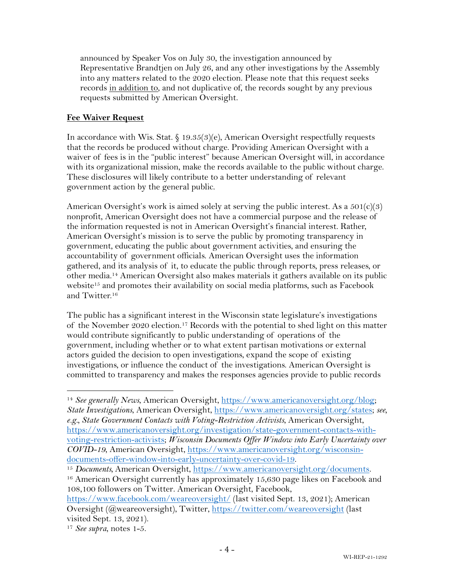announced by Speaker Vos on July 30, the investigation announced by Representative Brandtjen on July 26, and any other investigations by the Assembly into any matters related to the 2020 election. Please note that this request seeks records in addition to, and not duplicative of, the records sought by any previous requests submitted by American Oversight.

### **Fee Waiver Request**

In accordance with Wis. Stat. § 19.35(3)(e), American Oversight respectfully requests that the records be produced without charge. Providing American Oversight with a waiver of fees is in the "public interest" because American Oversight will, in accordance with its organizational mission, make the records available to the public without charge. These disclosures will likely contribute to a better understanding of relevant government action by the general public.

American Oversight's work is aimed solely at serving the public interest. As a  $501(c)(3)$ nonprofit, American Oversight does not have a commercial purpose and the release of the information requested is not in American Oversight's financial interest. Rather, American Oversight's mission is to serve the public by promoting transparency in government, educating the public about government activities, and ensuring the accountability of government officials. American Oversight uses the information gathered, and its analysis of it, to educate the public through reports, press releases, or other media.14 American Oversight also makes materials it gathers available on its public website<sup>15</sup> and promotes their availability on social media platforms, such as Facebook and Twitter.16

The public has a significant interest in the Wisconsin state legislature's investigations of the November 2020 election. <sup>17</sup> Records with the potential to shed light on this matter would contribute significantly to public understanding of operations of the government, including whether or to what extent partisan motivations or external actors guided the decision to open investigations, expand the scope of existing investigations, or influence the conduct of the investigations. American Oversight is committed to transparency and makes the responses agencies provide to public records

<sup>14</sup> *See generally News*, American Oversight, https://www.americanoversight.org/blog; *State Investigations*, American Oversight, https://www.americanoversight.org/states; *see, e.g., State Government Contacts with Voting-Restriction Activists*, American Oversight, https://www.americanoversight.org/investigation/state-government-contacts-withvoting-restriction-activists; *Wisconsin Documents Offer Window into Early Uncertainty over COVID-19*, American Oversight, https://www.americanoversight.org/wisconsindocuments-offer-window-into-early-uncertainty-over-covid-19.

<sup>15</sup> *Documents,* American Oversight, https://www.americanoversight.org/documents.

<sup>&</sup>lt;sup>16</sup> American Oversight currently has approximately 15,630 page likes on Facebook and 108,100 followers on Twitter. American Oversight, Facebook,

https://www.facebook.com/weareoversight/ (last visited Sept. 13, 2021); American Oversight (@weareoversight), Twitter, https://twitter.com/weareoversight (last visited Sept. 13, 2021).

<sup>17</sup> *See supra*, notes 1-5.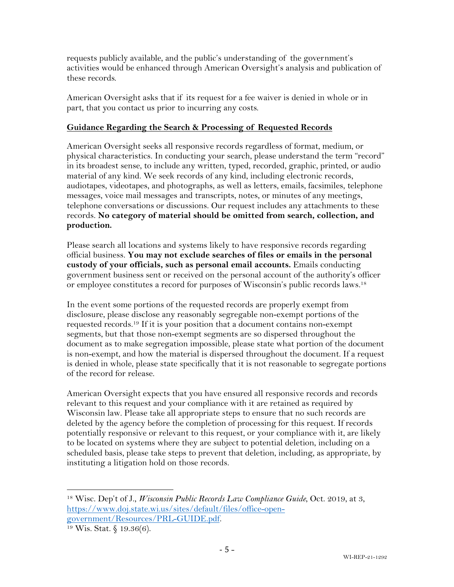requests publicly available, and the public's understanding of the government's activities would be enhanced through American Oversight's analysis and publication of these records.

American Oversight asks that if its request for a fee waiver is denied in whole or in part, that you contact us prior to incurring any costs.

### **Guidance Regarding the Search & Processing of Requested Records**

American Oversight seeks all responsive records regardless of format, medium, or physical characteristics. In conducting your search, please understand the term "record" in its broadest sense, to include any written, typed, recorded, graphic, printed, or audio material of any kind. We seek records of any kind, including electronic records, audiotapes, videotapes, and photographs, as well as letters, emails, facsimiles, telephone messages, voice mail messages and transcripts, notes, or minutes of any meetings, telephone conversations or discussions. Our request includes any attachments to these records. **No category of material should be omitted from search, collection, and production.**

Please search all locations and systems likely to have responsive records regarding official business. **You may not exclude searches of files or emails in the personal custody of your officials, such as personal email accounts.** Emails conducting government business sent or received on the personal account of the authority's officer or employee constitutes a record for purposes of Wisconsin's public records laws.18

In the event some portions of the requested records are properly exempt from disclosure, please disclose any reasonably segregable non-exempt portions of the requested records.19 If it is your position that a document contains non-exempt segments, but that those non-exempt segments are so dispersed throughout the document as to make segregation impossible, please state what portion of the document is non-exempt, and how the material is dispersed throughout the document. If a request is denied in whole, please state specifically that it is not reasonable to segregate portions of the record for release.

American Oversight expects that you have ensured all responsive records and records relevant to this request and your compliance with it are retained as required by Wisconsin law. Please take all appropriate steps to ensure that no such records are deleted by the agency before the completion of processing for this request. If records potentially responsive or relevant to this request, or your compliance with it, are likely to be located on systems where they are subject to potential deletion, including on a scheduled basis, please take steps to prevent that deletion, including, as appropriate, by instituting a litigation hold on those records.

<sup>18</sup> Wisc. Dep't of J., *Wisconsin Public Records Law Compliance Guide*, Oct. 2019, at 3, https://www.doj.state.wi.us/sites/default/files/office-opengovernment/Resources/PRL-GUIDE.pdf. 19 Wis. Stat. § 19.36(6).